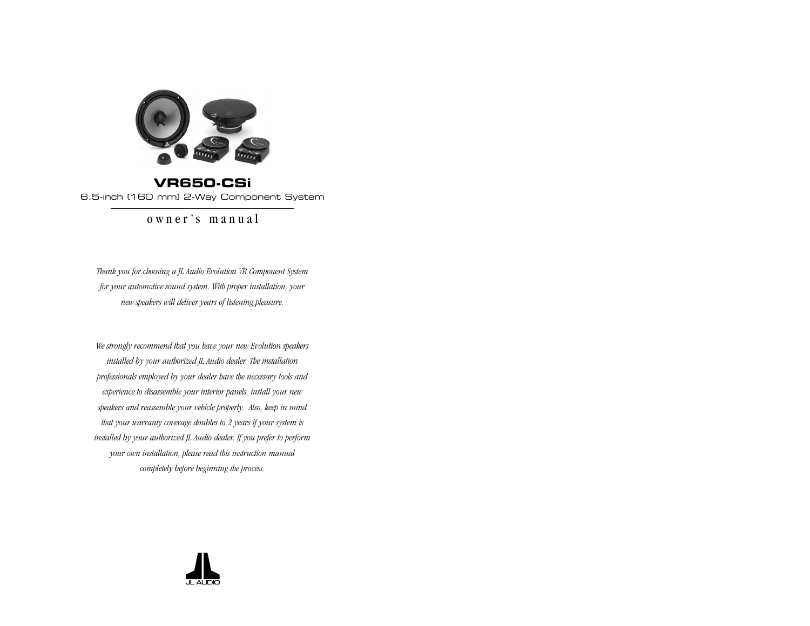

**VR650-CSi** 6.5-inch (160 mm) 2-Way Component System

owner's manual

*Thank you for choosing a JL Audio Evolution VR Component System for your automotive sound system. With proper installation, your new speakers will deliver years of listening pleasure.*

*We strongly recommend that you have your new Evolution speakers installed by your authorized JL Audio dealer. The installation professionals employed by your dealer have the necessary tools and experience to disassemble your interior panels, install your new speakers and reassemble your vehicle properly. Also, keep in mind that your warranty coverage doubles to 2 years if your system is installed by your authorized JL Audio dealer. If you prefer to perform your own installation, please read this instruction manual completely before beginning the process.*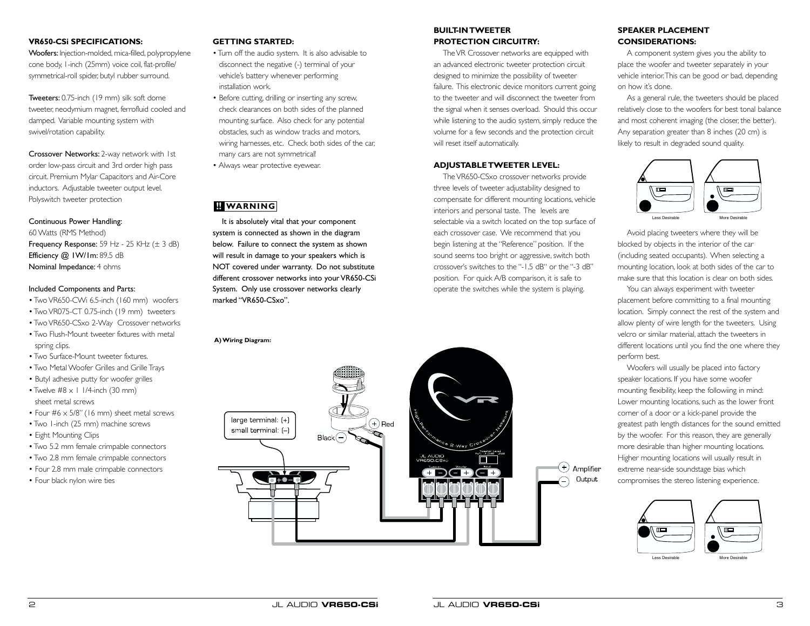## **VR650-CSi SPECIFICATIONS:**

Woofers: Injection-molded, mica-filled, polypropylene cone body, 1-inch (25mm) voice coil, flat-profile/ symmetrical-roll spider, butyl rubber surround.

Tweeters: 0.75-inch (19 mm) silk soft dome tweeter, neodymium magnet, ferrofluid cooled and damped. Variable mounting system with swivel/rotation capability.

Crossover Networks: 2-way network with 1st order low-pass circuit and 3rd order high pass circuit. Premium Mylar Capacitors and Air-Core inductors. Adjustable tweeter output level. Polyswitch tweeter protection

### Continuous Power Handling:

60 Watts (RMS Method) Frequency Response: 59 Hz - 25 KHz (± 3 dB) Efficiency @ IW/Im: 89.5 dB Nominal Impedance: 4 ohms

#### Included Components and Parts:

- Two VR650-CWi 6.5-inch (160 mm) woofers
- Two VR075-CT 0.75-inch (19 mm) tweeters
- Two VR650-CSxo 2-Way Crossover networks • Two Flush-Mount tweeter fixtures with metal spring clips.
- Two Surface-Mount tweeter fixtures.
- Two Metal Woofer Grilles and Grille Trays
- Butyl adhesive putty for woofer grilles
- Twelve  $#8 \times 1$  1/4-inch (30 mm) sheet metal screws
- Four #6 x 5/8" (16 mm) sheet metal screws
- Two 1-inch (25 mm) machine screws
- Eight Mounting Clips
- Two 5.2 mm female crimpable connectors
- Two 2.8 mm female crimpable connectors
- Four 2.8 mm male crimpable connectors
- Four black nylon wire ties

### **GETTING STARTED:**

- Turn off the audio system. It is also advisable to disconnect the negative (-) terminal of your vehicle's battery whenever performing installation work.
- Before cutting, drilling or inserting any screw, check clearances on both sides of the planned mounting surface. Also check for any potential obstacles, such as window tracks and motors, wiring harnesses, etc. Check both sides of the car, many cars are not symmetrical!
- Always wear protective eyewear.

# **!! WARNING**

It is absolutely vital that your component system is connected as shown in the diagram below. Failure to connect the system as shown will result in damage to your speakers which is NOT covered under warranty. Do not substitute different crossover networks into your VR650-CSi System. Only use crossover networks clearly marked "VR650-CSxo".

**A) Wiring Diagram:**



## **BUILT-IN TWEETER PROTECTION CIRCUITRY:**

The VR Crossover networks are equipped with an advanced electronic tweeter protection circuit designed to minimize the possibility of tweeter failure. This electronic device monitors current going to the tweeter and will disconnect the tweeter from the signal when it senses overload. Should this occur while listening to the audio system, simply reduce the volume for a few seconds and the protection circuit will reset itself automatically.

### **ADJUSTABLE TWEETER LEVEL:**

The VR650-CSxo crossover networks provide three levels of tweeter adjustability designed to compensate for different mounting locations, vehicle interiors and personal taste. The levels are selectable via a switch located on the top surface of each crossover case. We recommend that you begin listening at the "Reference" position. If the sound seems too bright or aggressive, switch both crossover's switches to the "-1.5 dB" or the "-3 dB" position. For quick A/B comparison, it is safe to operate the switches while the system is playing.

## **SPEAKER PLACEMENT CONSIDERATIONS:**

A component system gives you the ability to place the woofer and tweeter separately in your vehicle interior.This can be good or bad, depending on how it's done.

As a general rule, the tweeters should be placed relatively close to the woofers for best tonal balance and most coherent imaging (the closer, the better). Any separation greater than 8 inches (20 cm) is likely to result in degraded sound quality.



Avoid placing tweeters where they will be blocked by objects in the interior of the car (including seated occupants). When selecting a mounting location, look at both sides of the car to make sure that this location is clear on both sides.

You can always experiment with tweeter placement before committing to a final mounting location. Simply connect the rest of the system and allow plenty of wire length for the tweeters. Using velcro or similar material, attach the tweeters in different locations until you find the one where they perform best.

Woofers will usually be placed into factory speaker locations. If you have some woofer mounting flexibility, keep the followiing in mind: Lower mounting locations, such as the lower front corner of a door or a kick-panel provide the greatest path length distances for the sound emitted by the woofer. For this reason, they are generally more desirable than higher mounting locations. Higher mounting locations will usually result in extreme near-side soundstage bias which compromises the stereo listening experience.



Less Desirable More Desirable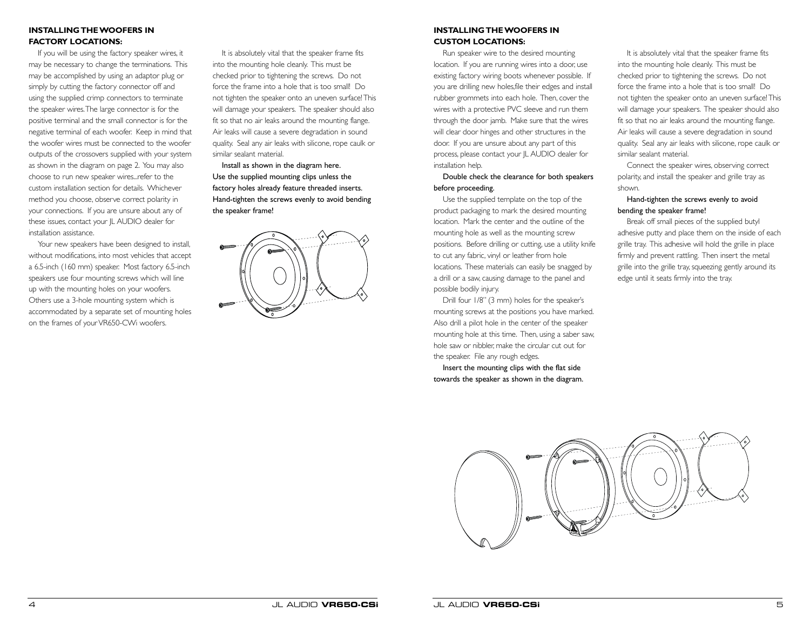## **INSTALLING THE WOOFFRS IN FACTORY LOCATIONS:**

If you will be using the factory speaker wires, it may be necessary to change the terminations. This may be accomplished by using an adaptor plug or simply by cutting the factory connector off and using the supplied crimp connectors to terminate the speaker wires.The large connector is for the positive terminal and the small connector is for the negative terminal of each woofer. Keep in mind that the woofer wires must be connected to the woofer outputs of the crossovers supplied with your system as shown in the diagram on page 2. You may also choose to run new speaker wires...refer to the custom installation section for details. Whichever method you choose, observe correct polarity in your connections. If you are unsure about any of these issues, contact your JL AUDIO dealer for installation assistance.

Your new speakers have been designed to install, without modifications, into most vehicles that accept a 6.5-inch (160 mm) speaker. Most factory 6.5-inch speakers use four mounting screws which will line up with the mounting holes on your woofers. Others use a 3-hole mounting system which is accommodated by a separate set of mounting holes on the frames of your VR650-CWi woofers.

It is absolutely vital that the speaker frame fits into the mounting hole cleanly. This must be checked prior to tightening the screws. Do not force the frame into a hole that is too small! Do not tighten the speaker onto an uneven surface! This will damage your speakers. The speaker should also fit so that no air leaks around the mounting flange. Air leaks will cause a severe degradation in sound quality. Seal any air leaks with silicone, rope caulk or similar sealant material.

Install as shown in the diagram here. Use the supplied mounting clips unless the factory holes already feature threaded inserts. Hand-tighten the screws evenly to avoid bending the speaker frame!



## **INSTALLING THE WOOFERS IN CUSTOM LOCATIONS:**

Run speaker wire to the desired mounting location. If you are running wires into a door, use existing factory wiring boots whenever possible. If you are drilling new holes,file their edges and install rubber grommets into each hole. Then, cover the wires with a protective PVC sleeve and run them through the door jamb. Make sure that the wires will clear door hinges and other structures in the door. If you are unsure about any part of this process, please contact your JL AUDIO dealer for installation help.

## Double check the clearance for both speakers before proceeding.

Use the supplied template on the top of the product packaging to mark the desired mounting location. Mark the center and the outline of the mounting hole as well as the mounting screw positions. Before drilling or cutting, use a utility knife to cut any fabric, vinyl or leather from hole locations. These materials can easily be snagged by a drill or a saw, causing damage to the panel and possible bodily injury.

Drill four 1/8" (3 mm) holes for the speaker's mounting screws at the positions you have marked. Also drill a pilot hole in the center of the speaker mounting hole at this time. Then, using a saber saw, hole saw or nibbler, make the circular cut out for the speaker. File any rough edges.

Insert the mounting clips with the flat side towards the speaker as shown in the diagram.

It is absolutely vital that the speaker frame fits into the mounting hole cleanly. This must be checked prior to tightening the screws. Do not force the frame into a hole that is too small! Do not tighten the speaker onto an uneven surface! This will damage your speakers. The speaker should also fit so that no air leaks around the mounting flange. Air leaks will cause a severe degradation in sound quality. Seal any air leaks with silicone, rope caulk or similar sealant material.

Connect the speaker wires, observing correct polarity, and install the speaker and grille tray as shown.

### Hand-tighten the screws evenly to avoid bending the speaker frame!

Break off small pieces of the supplied butyl adhesive putty and place them on the inside of each grille tray. This adhesive will hold the grille in place firmly and prevent rattling. Then insert the metal grille into the grille tray, squeezing gently around its edge until it seats firmly into the tray.

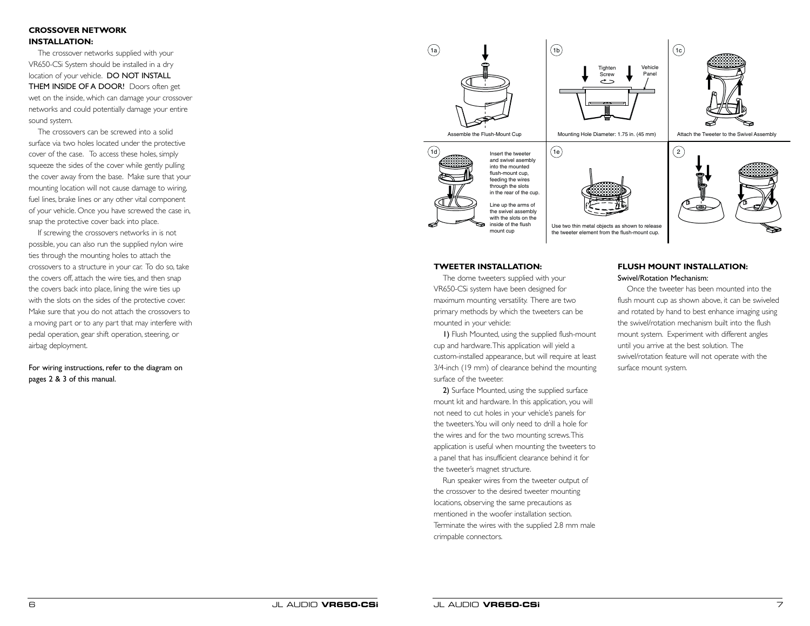## **CROSSOVER NETWORK INSTALLATION:**

The crossover networks supplied with your VR650-CSi System should be installed in a dry location of your vehicle. DO NOT INSTALL THEM INSIDE OF A DOOR! Doors often get wet on the inside, which can damage your crossover networks and could potentially damage your entire sound system.

The crossovers can be screwed into a solid surface via two holes located under the protective cover of the case. To access these holes, simply squeeze the sides of the cover while gently pulling the cover away from the base. Make sure that your mounting location will not cause damage to wiring, fuel lines, brake lines or any other vital component of your vehicle. Once you have screwed the case in, snap the protective cover back into place.

If screwing the crossovers networks in is not possible, you can also run the supplied nylon wire ties through the mounting holes to attach the crossovers to a structure in your car. To do so, take the covers off, attach the wire ties, and then snap the covers back into place, lining the wire ties up with the slots on the sides of the protective cover. Make sure that you do not attach the crossovers to a moving part or to any part that may interfere with pedal operation, gear shift operation, steering, or airbag deployment.

For wiring instructions, refer to the diagram on pages 2 & 3 of this manual.



### **TWEETER INSTALLATION:**

The dome tweeters supplied with your VR650-CSi system have been designed for maximum mounting versatility. There are two primary methods by which the tweeters can be mounted in your vehicle:

1) Flush Mounted, using the supplied flush-mount cup and hardware.This application will yield a custom-installed appearance, but will require at least 3/4-inch (19 mm) of clearance behind the mounting surface of the tweeter.

2) Surface Mounted, using the supplied surface mount kit and hardware. In this application, you will not need to cut holes in your vehicle's panels for the tweeters.You will only need to drill a hole for the wires and for the two mounting screws.This application is useful when mounting the tweeters to a panel that has insufficient clearance behind it for the tweeter's magnet structure.

Run speaker wires from the tweeter output of the crossover to the desired tweeter mounting locations, observing the same precautions as mentioned in the woofer installation section. Terminate the wires with the supplied 2.8 mm male crimpable connectors.

#### **FLUSH MOUNT INSTALLATION:** Swivel/Rotation Mechanism:

Once the tweeter has been mounted into the flush mount cup as shown above, it can be swiveled and rotated by hand to best enhance imaging using the swivel/rotation mechanism built into the flush mount system. Experiment with different angles until you arrive at the best solution. The swivel/rotation feature will not operate with the surface mount system.